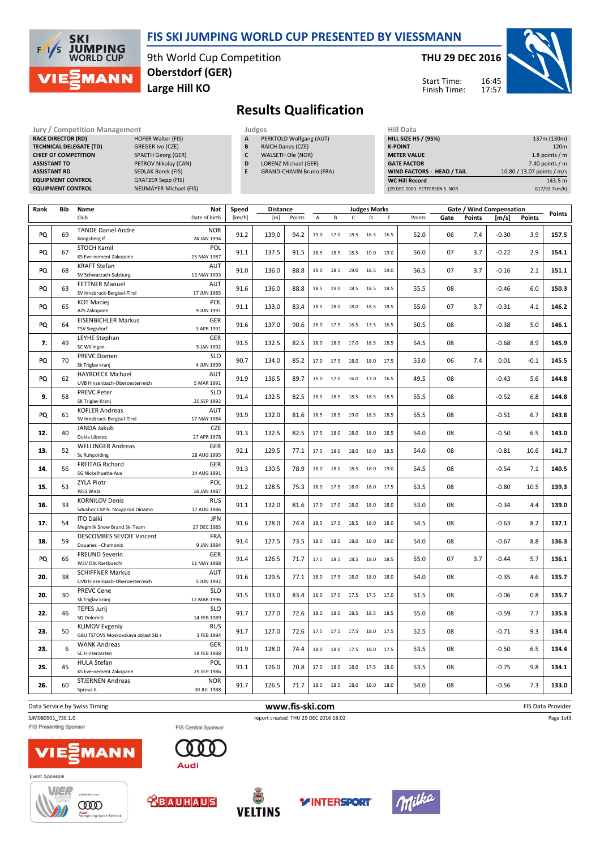

## FIS SKI JUMPING WORLD CUP PRESENTED BY VIESSMANN

9th World Cup Competition Large Hill KO Oberstdorf (GER)

#### THU 29 DEC 2016

Start Time: Finish Time:



## Results Qualification

| <b>Jury / Competition Management</b> |                               |   |    |  |  |  |
|--------------------------------------|-------------------------------|---|----|--|--|--|
| <b>RACE DIRECTOR (RD)</b>            | <b>HOFER Walter (FIS)</b>     | A | PF |  |  |  |
| <b>TECHNICAL DELEGATE (TD)</b>       | GREGER Ivo (CZE)              | B | R/ |  |  |  |
| <b>CHIEF OF COMPETITION</b>          | <b>SPAETH Georg (GER)</b>     | C | W  |  |  |  |
| <b>ASSISTANT TD</b>                  | PETROV Nikolay (CAN)          | D | LC |  |  |  |
| <b>ASSISTANT RD</b>                  | <b>SEDLAK Borek (FIS)</b>     | E | GF |  |  |  |
| <b>EQUIPMENT CONTROL</b>             | <b>GRATZER Sepp (FIS)</b>     |   |    |  |  |  |
| <b>EQUIPMENT CONTROL</b>             | <b>NEUMAYER Michael (FIS)</b> |   |    |  |  |  |
|                                      |                               |   |    |  |  |  |

- PERKTOLD Wolfgang (AUT)
- B RAICH Danes (CZE)
- C WALSETH Ole (NOR)
- D LORENZ Michael (GER)
- E GRAND-CHAVIN Bruno (FRA)

| Hill Data                         |                            |
|-----------------------------------|----------------------------|
| <b>HILL SIZE HS / (95%)</b>       | 137m (130m)                |
| <b>K-POINT</b>                    | 120 <sub>m</sub>           |
| <b>METER VALUE</b>                | 1.8 points $/m$            |
| <b>GATE FACTOR</b>                | 7.40 points $/m$           |
| <b>WIND FACTORS - HEAD / TAIL</b> | 10.80 / 13.07 points / m/s |
| <b>WC Hill Record</b>             | 143.5 m                    |
| (29 DEC 2003 PETTERSEN S. NOR     | G17/92.7km/h)              |

| Rank | Bib | Name                                                      | <b>Nat</b>                | Speed  |       | Gate / Wind Compensation<br><b>Distance</b><br><b>Judges Marks</b> |      |      |      |      |      | Points |      |               |         |        |                   |
|------|-----|-----------------------------------------------------------|---------------------------|--------|-------|--------------------------------------------------------------------|------|------|------|------|------|--------|------|---------------|---------|--------|-------------------|
|      |     | Club                                                      | Date of birth             | [km/h] | [m]   | Points                                                             | А    | В    | C    | D    | E    | Points | Gate | <b>Points</b> | [m/s]   | Points |                   |
| PQ   | 69  | <b>TANDE Daniel Andre</b><br>Kongsberg If                 | <b>NOR</b><br>24 JAN 1994 | 91.2   | 139.0 | 94.2                                                               | 19.0 | 17.0 | 18.5 | 16.5 | 16.5 | 52.0   | 06   | 7.4           | $-0.30$ | 3.9    | 157.5             |
| PQ   | 67  | <b>STOCH Kamil</b><br>KS Eve-nement Zakopane              | POL<br>25 MAY 1987        | 91.1   | 137.5 | 91.5                                                               | 18.5 | 18.5 | 18.5 | 19.0 | 19.0 | 56.0   | 07   | 3.7           | $-0.22$ | 2.9    | 154.1             |
|      |     | <b>KRAFT Stefan</b>                                       | <b>AUT</b>                |        |       |                                                                    |      |      |      |      |      |        |      |               |         |        |                   |
| PQ   | 68  | SV Schwarzach-Salzburg                                    | 13 MAY 1993               | 91.0   | 136.0 | 88.8                                                               | 19.0 | 18.5 | 19.0 | 18.5 | 19.0 | 56.5   | 07   | 3.7           | $-0.16$ | 2.1    | 151.1             |
|      |     | <b>FETTNER Manuel</b>                                     | <b>AUT</b>                |        |       |                                                                    |      |      |      |      |      |        |      |               |         |        |                   |
| PQ   | 63  | SV Innsbruck-Bergisel-Tirol                               | 17 JUN 1985               | 91.6   | 136.0 | 88.8                                                               | 18.5 | 19.0 | 18.5 | 18.5 | 18.5 | 55.5   | 08   |               | $-0.46$ | 6.0    | 150.3             |
| PQ   | 65  | <b>KOT Maciej</b><br>AZS Zakopane                         | POL<br>9 JUN 1991         | 91.1   | 133.0 | 83.4                                                               | 18.5 | 18.0 | 18.0 | 18.5 | 18.5 | 55.0   | 07   | 3.7           | $-0.31$ | 4.1    | 146.2             |
|      |     | <b>EISENBICHLER Markus</b>                                | <b>GER</b>                |        |       |                                                                    |      |      |      |      |      |        |      |               |         |        | 146.1             |
| PQ   | 64  | <b>TSV Siegsdorf</b>                                      | 3 APR 1991                | 91.6   | 137.0 | 90.6                                                               | 16.0 | 17.5 | 16.5 | 17.5 | 16.5 | 50.5   | 08   |               | $-0.38$ | 5.0    |                   |
| 7.   | 49  | LEYHE Stephan<br>SC Willingen                             | <b>GER</b><br>5 JAN 1992  | 91.5   | 132.5 | 82.5                                                               | 18.0 | 18.0 | 17.0 | 18.5 | 18.5 | 54.5   | 08   |               | $-0.68$ | 8.9    | 145.9             |
|      |     | <b>PREVC Domen</b>                                        | <b>SLO</b>                | 90.7   |       |                                                                    |      |      |      |      |      |        |      | 7.4           |         |        |                   |
| PQ   | 70  | Sk Triglav kranj                                          | 4 JUN 1999                |        | 134.0 | 85.2                                                               | 17.0 | 17.5 | 18.0 | 18.0 | 17.5 | 53.0   | 06   |               | 0.01    | $-0.1$ | 145.5             |
| PQ   | 62  | <b>HAYBOECK Michael</b>                                   | <b>AUT</b>                | 91.9   | 136.5 | 89.7                                                               | 16.0 | 17.0 | 16.0 | 17.0 | 16.5 | 49.5   | 08   |               | $-0.43$ | 5.6    | 144.8             |
|      |     | UVB Hinzenbach-Oberoesterreich                            | 5 MAR 1991                |        |       |                                                                    |      |      |      |      |      |        |      |               |         |        |                   |
| 9.   | 58  | <b>PREVC Peter</b>                                        | <b>SLO</b>                | 91.4   | 132.5 | 82.5                                                               | 18.5 | 18.5 | 18.5 | 18.5 | 18.5 | 55.5   | 08   |               | $-0.52$ | 6.8    | 144.8             |
|      |     | SK Triglav Kranj                                          | 20 SEP 1992               |        |       |                                                                    |      |      |      |      |      |        |      |               |         |        |                   |
| PQ   | 61  | <b>KOFLER Andreas</b>                                     | AUT                       | 91.9   | 132.0 | 81.6                                                               | 18.5 | 18.5 | 19.0 | 18.5 | 18.5 | 55.5   | 08   |               | $-0.51$ | 6.7    | 143.8             |
|      |     | SV Innsbruck-Bergisel-Tirol                               | 17 MAY 1984               |        |       |                                                                    |      |      |      |      |      |        |      |               |         |        |                   |
| 12.  | 40  | JANDA Jakub<br>Dukla Liberec                              | <b>CZE</b><br>27 APR 1978 | 91.3   | 132.5 | 82.5                                                               | 17.5 | 18.0 | 18.0 | 18.0 | 18.5 | 54.0   | 08   |               | $-0.50$ | 6.5    | 143.0             |
|      |     | <b>WELLINGER Andreas</b>                                  | <b>GER</b>                |        |       |                                                                    |      |      |      |      |      |        |      |               |         |        |                   |
| 13.  | 52  | <b>Sc Ruhpolding</b>                                      | 28 AUG 1995               | 92.1   | 129.5 | 77.1                                                               | 17.5 | 18.0 | 18.0 | 18.0 | 18.5 | 54.0   | 08   |               | $-0.81$ | 10.6   | 141.7             |
|      |     | <b>FREITAG Richard</b>                                    | <b>GER</b>                |        |       |                                                                    |      |      |      |      |      |        |      |               |         |        |                   |
| 14.  | 56  | SG Nickelhuette Aue                                       | 14 AUG 1991               | 91.3   | 130.5 | 78.9                                                               | 18.0 | 18.0 | 18.5 | 18.0 | 19.0 | 54.5   | 08   |               | $-0.54$ | 7.1    | 140.5             |
|      |     | <b>ZYLA Piotr</b>                                         | POL                       |        |       |                                                                    |      |      |      |      |      |        |      |               |         |        |                   |
| 15.  | 53  | WSS Wisla                                                 | 16 JAN 1987               | 91.2   | 128.5 | 75.3                                                               | 18.0 | 17.5 | 18.0 | 18.0 | 17.5 | 53.5   | 08   |               | $-0.80$ | 10.5   | 139.3             |
|      |     | <b>KORNILOV Denis</b>                                     | <b>RUS</b>                |        |       |                                                                    | 17.0 | 17.0 | 18.0 |      | 18.0 |        |      |               |         |        |                   |
| 16.  | 33  | Sdushor CSP N. Novgorod Dinamo                            | 17 AUG 1986               | 91.1   | 132.0 | 81.6                                                               |      |      |      | 18.0 |      | 53.0   | 08   |               | $-0.34$ | 4.4    | 139.0             |
| 17.  | 54  | <b>ITO Daiki</b>                                          | <b>JPN</b>                | 91.6   | 128.0 | 74.4                                                               | 18.5 | 17.5 | 18.5 | 18.0 | 18.0 | 54.5   | 08   |               | $-0.63$ | 8.2    | 137.1             |
|      |     | Megmilk Snow Brand Ski Team                               | 27 DEC 1985               |        |       |                                                                    |      |      |      |      |      |        |      |               |         |        |                   |
| 18.  | 59  | <b>DESCOMBES SEVOIE Vincent</b>                           | <b>FRA</b>                | 91.4   | 127.5 | 73.5                                                               | 18.0 | 18.0 | 18.0 | 18.0 | 18.0 | 54.0   | 08   |               | $-0.67$ | 8.8    | 136.3             |
|      |     | Douanes - Chamonix                                        | 9 JAN 1984                |        |       |                                                                    |      |      |      |      |      |        |      |               |         |        |                   |
| PQ   | 66  | <b>FREUND Severin</b>                                     | <b>GER</b>                | 91.4   | 126.5 | 71.7                                                               | 17.5 | 18.5 | 18.5 | 18.0 | 18.5 | 55.0   | 07   | 3.7           | $-0.44$ | 5.7    | 136.1             |
|      |     | WSV DJK Rastbuechl                                        | 11 MAY 1988<br>AUT        |        |       |                                                                    |      |      |      |      |      |        |      |               |         |        |                   |
| 20.  | 38  | <b>SCHIFFNER Markus</b><br>UVB Hinzenbach-Oberoesterreich | 5 JUN 1992                | 91.6   | 129.5 | 77.1                                                               | 18.0 | 17.5 | 18.0 | 18.0 | 18.0 | 54.0   | 08   |               | $-0.35$ | 4.6    | 135.7             |
|      |     | <b>PREVC Cene</b>                                         | <b>SLO</b>                |        |       |                                                                    |      |      |      |      |      |        |      |               |         |        |                   |
| 20.  | 30  | Sk Triglav kranj                                          | 12 MAR 1996               | 91.5   | 133.0 | 83.4                                                               | 16.0 | 17.0 | 17.5 | 17.5 | 17.0 | 51.5   | 08   |               | $-0.06$ | 0.8    | 135.7             |
|      |     | <b>TEPES Jurij</b>                                        | <b>SLO</b>                |        |       |                                                                    |      |      |      |      |      |        |      |               |         |        |                   |
| 22.  | 46  | SD Dolomiti                                               | 14 FEB 1989               | 91.7   | 127.0 | 72.6                                                               | 18.0 | 18.0 | 18.5 | 18.5 | 18.5 | 55.0   | 08   |               | $-0.59$ | 7.7    | 135.3             |
|      |     | <b>KLIMOV Evgeniy</b>                                     | <b>RUS</b>                |        |       |                                                                    |      |      |      |      |      |        |      |               |         |        |                   |
| 23.  | 50  | GBU TSTOVS Moskovskaya oblast Ski s                       | 3 FEB 1994                | 91.7   | 127.0 | 72.6                                                               | 17.5 | 17.5 | 17.5 | 18.0 | 17.5 | 52.5   | 08   |               | $-0.71$ | 9.3    | 134.4             |
| 23.  | 6   | <b>WANK Andreas</b>                                       | GER                       | 91.9   | 128.0 | 74.4                                                               | 18.0 | 18.0 | 17.5 | 18.0 | 17.5 | 53.5   | 08   |               | $-0.50$ | 6.5    | 134.4             |
|      |     | SC Hinterzarten                                           | 18 FEB 1988               |        |       |                                                                    |      |      |      |      |      |        |      |               |         |        |                   |
| 25.  | 45  | <b>HULA Stefan</b>                                        | POL                       | 91.1   | 126.0 | 70.8                                                               | 17.0 | 18.0 | 18.0 | 17.5 | 18.0 | 53.5   | 08   |               | $-0.75$ | 9.8    | 134.1             |
|      |     | KS Eve-nement Zakopane                                    | 29 SEP 1986               |        |       |                                                                    |      |      |      |      |      |        |      |               |         |        |                   |
| 26.  | 60  | <b>STJERNEN Andreas</b>                                   | <b>NOR</b>                | 91.7   | 126.5 | 71.7                                                               | 18.0 | 18.5 | 18.0 | 18.0 | 18.0 | 54.0   | 08   |               | $-0.56$ | 7.3    | 133.0             |
|      |     | Sprova IL                                                 | 30 JUL 1988               |        |       |                                                                    |      |      |      |      |      |        |      |               |         |        |                   |
|      |     | Data Service by Swiss Timing                              |                           |        |       | www.fis-ski.com                                                    |      |      |      |      |      |        |      |               |         |        | FIS Data Provider |

#### SJM080901\_73E 1.0 report created THU 29 DEC 2016 18:02 FIS Presenting Sponsor

FIS Central Sponsor



















Page 1of3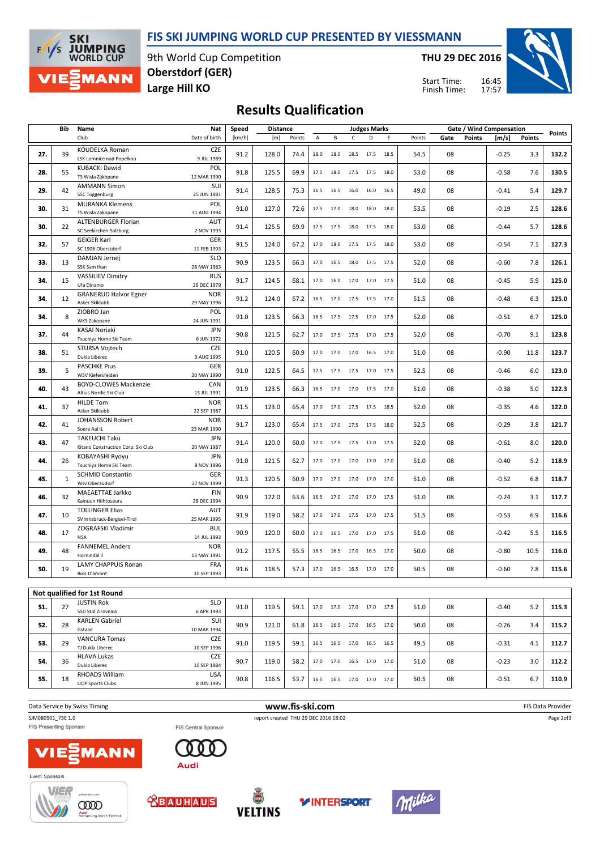## FIS SKI JUMPING WORLD CUP PRESENTED BY VIESSMANN



9th World Cup Competition Large Hill KO Oberstdorf (GER)

THU 29 DEC 2016

16:45 17:57 Start Time: Finish Time:



## Results Qualification

|     | Bib | Name                                                       | Nat                                     | Speed  | <b>Distance</b> |        |      |           |                          | <b>Judges Marks</b> |      |        | Gate / Wind Compensation |               |         |        |        |
|-----|-----|------------------------------------------------------------|-----------------------------------------|--------|-----------------|--------|------|-----------|--------------------------|---------------------|------|--------|--------------------------|---------------|---------|--------|--------|
|     |     | Club                                                       | Date of birth                           | [km/h] | [m]             | Points | Α    | В         | C                        | D                   | E    | Points | Gate                     | <b>Points</b> | [m/s]   | Points | Points |
| 27. | 39  | <b>KOUDELKA Roman</b><br>LSK Lomnice nad Popelkou          | <b>CZE</b><br>9 JUL 1989                | 91.2   | 128.0           | 74.4   | 18.0 | 18.0      | 18.5                     | 17.5                | 18.5 | 54.5   | 08                       |               | $-0.25$ | 3.3    | 132.2  |
| 28. | 55  | <b>KUBACKI Dawid</b><br>TS Wisla Zakopane                  | POL<br>12 MAR 1990                      | 91.8   | 125.5           | 69.9   | 17.5 | 18.0      | 17.5                     | 17.5                | 18.0 | 53.0   | 08                       |               | $-0.58$ | 7.6    | 130.5  |
| 29. | 42  | <b>AMMANN Simon</b><br><b>SSC Toggenburg</b>               | SUI<br>25 JUN 1981                      | 91.4   | 128.5           | 75.3   | 16.5 | 16.5      | 16.0                     | 16.0                | 16.5 | 49.0   | 08                       |               | -0.41   | 5.4    | 129.7  |
| 30. | 31  | <b>MURANKA Klemens</b><br>TS Wisla Zakopane                | POL<br>31 AUG 1994                      | 91.0   | 127.0           | 72.6   | 17.5 | 17.0      | 18.0                     | 18.0                | 18.0 | 53.5   | 08                       |               | $-0.19$ | 2.5    | 128.6  |
| 30. | 22  | <b>ALTENBURGER Florian</b><br>SC Seekirchen-Salzburg       | <b>AUT</b><br>2 NOV 1993                | 91.4   | 125.5           | 69.9   | 17.5 | 17.5      | 18.0                     | 17.5                | 18.0 | 53.0   | 08                       |               | -0.44   | 5.7    | 128.6  |
| 32. | 57  | <b>GEIGER Karl</b><br>SC 1906 Oberstdorf                   | GER<br>11 FEB 1993                      | 91.5   | 124.0           | 67.2   | 17.0 | 18.0      | 17.5                     | 17.5                | 18.0 | 53.0   | 08                       |               | $-0.54$ | 7.1    | 127.3  |
| 33. | 13  | DAMJAN Jernej<br>SSK Sam Ihan                              | <b>SLO</b><br>28 MAY 1983               | 90.9   | 123.5           | 66.3   | 17.0 | 16.5      | 18.0                     | 17.5                | 17.5 | 52.0   | 08                       |               | $-0.60$ | 7.8    | 126.1  |
| 34. | 15  | <b>VASSILIEV Dimitry</b><br>Ufa Dinamo                     | <b>RUS</b><br>26 DEC 1979               | 91.7   | 124.5           | 68.1   | 17.0 | 16.0      | 17.0                     | 17.0                | 17.5 | 51.0   | 08                       |               | $-0.45$ | 5.9    | 125.0  |
| 34. | 12  | <b>GRANERUD Halvor Egner</b><br>Asker Skiklubb             | <b>NOR</b><br>29 MAY 1996               | 91.2   | 124.0           | 67.2   | 16.5 | 17.0      | 17.5                     | 17.5                | 17.0 | 51.5   | 08                       |               | $-0.48$ | 6.3    | 125.0  |
| 34. | 8   | ZIOBRO Jan<br>WKS Zakopane                                 | POL<br>24 JUN 1991                      | 91.0   | 123.5           | 66.3   | 16.5 | 17.5      | 17.5                     | 17.0                | 17.5 | 52.0   | 08                       |               | $-0.51$ | 6.7    | 125.0  |
| 37. | 44  | KASAI Noriaki<br>Tsuchiya Home Ski Team                    | <b>JPN</b><br>6 JUN 1972                | 90.8   | 121.5           | 62.7   | 17.0 | 17.5      | 17.5                     | 17.0                | 17.5 | 52.0   | 08                       |               | $-0.70$ | 9.1    | 123.8  |
| 38. | 51  | STURSA Vojtech<br>Dukla Liberec                            | CZE<br>3 AUG 1995                       | 91.0   | 120.5           | 60.9   | 17.0 | 17.0      | 17.0                     | 16.5                | 17.0 | 51.0   | 08                       |               | $-0.90$ | 11.8   | 123.7  |
| 39. | 5   | <b>PASCHKE Pius</b><br>WSV Kiefersfelden                   | <b>GER</b><br>20 MAY 1990               | 91.0   | 122.5           | 64.5   | 17.5 | 17.5      | 17.5                     | 17.0                | 17.5 | 52.5   | 08                       |               | $-0.46$ | 6.0    | 123.0  |
| 40. | 43  | <b>BOYD-CLOWES Mackenzie</b><br>Altius Nordic Ski Club     | CAN<br>13 JUL 1991                      | 91.9   | 123.5           | 66.3   | 16.5 | 17.0      | 17.0                     | 17.5                | 17.0 | 51.0   | 08                       |               | $-0.38$ | 5.0    | 122.3  |
| 41. | 37  | <b>HILDE Tom</b><br>Asker Skiklubb                         | <b>NOR</b><br>22 SEP 1987               | 91.5   | 123.0           | 65.4   | 17.0 | 17.0      | 17.5                     | 17.5                | 18.5 | 52.0   | 08                       |               | $-0.35$ | 4.6    | 122.0  |
| 42. | 41  | <b>JOHANSSON Robert</b><br>Soere Aal IL                    | <b>NOR</b><br>23 MAR 1990               | 91.7   | 123.0           | 65.4   | 17.5 | 17.0      | 17.5                     | 17.5                | 18.0 | 52.5   | 08                       |               | $-0.29$ | 3.8    | 121.7  |
| 43. | 47  | <b>TAKEUCHI Taku</b><br>Kitano Construction Corp. Ski Club | <b>JPN</b><br>20 MAY 1987               | 91.4   | 120.0           | 60.0   | 17.0 | 17.5      | 17.5                     | 17.0                | 17.5 | 52.0   | 08                       |               | $-0.61$ | 8.0    | 120.0  |
| 44. | 26  | <b>KOBAYASHI Ryoyu</b><br>Tsuchiya Home Ski Team           | <b>JPN</b><br>8 NOV 1996                | 91.0   | 121.5           | 62.7   | 17.0 |           | 17.0 17.0                | 17.0                | 17.0 | 51.0   | 08                       |               | $-0.40$ | 5.2    | 118.9  |
| 45. | 1   | <b>SCHMID Constantin</b><br>Wsv Oberaudorf                 | <b>GER</b><br>27 NOV 1999               | 91.3   | 120.5           | 60.9   | 17.0 |           | 17.0 17.0                | 17.0                | 17.0 | 51.0   | 08                       |               | $-0.52$ | 6.8    | 118.7  |
| 46. | 32  | MAEAETTAE Jarkko<br>Kainuun Hiihtoseura                    | <b>FIN</b><br>28 DEC 1994               | 90.9   | 122.0           | 63.6   | 16.5 |           | 17.0 17.0 17.0 17.5      |                     |      | 51.0   | 08                       |               | $-0.24$ | 3.1    | 117.7  |
| 47. | 10  | <b>TOLLINGER Elias</b><br>SV Innsbruck-Bergisel-Tirol      | AUT<br>25 MAR 1995                      | 91.9   | 119.0           | 58.2   | 17.0 | 17.0 17.5 |                          | 17.0                | 17.5 | 51.5   | 08                       |               | $-0.53$ | 6.9    | 116.6  |
| 48. | 17  | ZOGRAFSKI Vladimir<br><b>NSA</b><br><b>FANNEMEL Anders</b> | BUL<br>14 JUL 1993                      | 90.9   | 120.0           | 60.0   | 17.0 |           | 16.5 17.0 17.0 17.5      |                     |      | 51.0   | 08                       |               | $-0.42$ | 5.5    | 116.5  |
| 49. | 48  | Hornindal II<br><b>LAMY CHAPPUIS Ronan</b>                 | <b>NOR</b><br>13 MAY 1991<br><b>FRA</b> | 91.2   | 117.5           | 55.5   | 16.5 | 16.5      | 17.0                     | 16.5                | 17.0 | 50.0   | 08                       |               | $-0.80$ | 10.5   | 116.0  |
| 50. | 19  | Bois D'amont                                               | 10 SEP 1993                             | 91.6   | 118.5           | 57.3   |      |           | 17.0 16.5 16.5 17.0      |                     | 17.0 | 50.5   | 08                       |               | $-0.60$ | 7.8    | 115.6  |
|     |     | Not qualified for 1st Round                                |                                         |        |                 |        |      |           |                          |                     |      |        |                          |               |         |        |        |
| 51. | 27  | <b>JUSTIN Rok</b><br>SSD Stol Zirovnica                    | <b>SLO</b><br>6 APR 1993                | 91.0   | 119.5           | 59.1   | 17.0 |           | 17.0 17.0 17.0 17.5      |                     |      | 51.0   | 08                       |               | $-0.40$ | 5.2    | 115.3  |
| 52. | 28  | <b>KARLEN Gabriel</b><br>Gstaad                            | SUI<br>10 MAR 1994                      | 90.9   | 121.0           | 61.8   | 16.5 |           | 16.5 17.0 16.5 17.0      |                     |      | 50.0   | 08                       |               | $-0.26$ | 3.4    | 115.2  |
| 53. | 29  | <b>VANCURA Tomas</b><br>TJ Dukla Liberec                   | <b>CZE</b><br>10 SEP 1996               | 91.0   | 119.5           | 59.1   | 16.5 | 16.5      | 17.0                     | 16.5                | 16.5 | 49.5   | 08                       |               | $-0.31$ | 4.1    | 112.7  |
| 54. | 36  | <b>HLAVA Lukas</b><br>Dukla Liberec                        | <b>CZE</b><br>10 SEP 1984               | 90.7   | 119.0           | 58.2   | 17.0 |           | 17.0  16.5  17.0  17.0   |                     |      | 51.0   | 08                       |               | $-0.23$ | 3.0    | 112.2  |
| 55. | 18  | RHOADS William<br><b>UOP Sports Clubs</b>                  | <b>USA</b><br>8 JUN 1995                | 90.8   | 116.5           | 53.7   |      |           | 16.5 16.5 17.0 17.0 17.0 |                     |      | 50.5   | 08                       |               | $-0.51$ | 6.7    | 110.9  |
|     |     |                                                            |                                         |        |                 |        |      |           |                          |                     |      |        |                          |               |         |        |        |